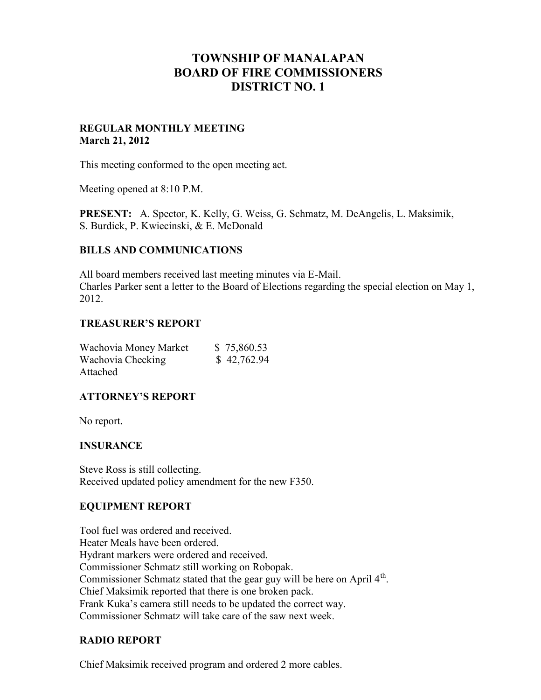# **TOWNSHIP OF MANALAPAN BOARD OF FIRE COMMISSIONERS DISTRICT NO. 1**

#### **REGULAR MONTHLY MEETING March 21, 2012**

This meeting conformed to the open meeting act.

Meeting opened at 8:10 P.M.

**PRESENT:** A. Spector, K. Kelly, G. Weiss, G. Schmatz, M. DeAngelis, L. Maksimik, S. Burdick, P. Kwiecinski, & E. McDonald

#### **BILLS AND COMMUNICATIONS**

All board members received last meeting minutes via E-Mail. Charles Parker sent a letter to the Board of Elections regarding the special election on May 1, 2012.

#### **TREASURER'S REPORT**

| Wachovia Money Market | \$75,860.53 |
|-----------------------|-------------|
| Wachovia Checking     | \$42,762.94 |
| Attached              |             |

## **ATTORNEY'S REPORT**

No report.

#### **INSURANCE**

Steve Ross is still collecting. Received updated policy amendment for the new F350.

#### **EQUIPMENT REPORT**

Tool fuel was ordered and received. Heater Meals have been ordered. Hydrant markers were ordered and received. Commissioner Schmatz still working on Robopak. Commissioner Schmatz stated that the gear guy will be here on April 4<sup>th</sup>. Chief Maksimik reported that there is one broken pack. Frank Kuka's camera still needs to be updated the correct way. Commissioner Schmatz will take care of the saw next week.

## **RADIO REPORT**

Chief Maksimik received program and ordered 2 more cables.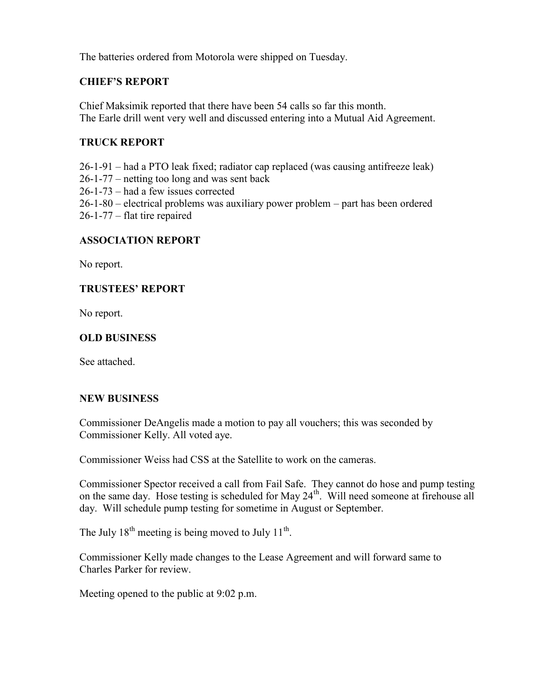The batteries ordered from Motorola were shipped on Tuesday.

# **CHIEF'S REPORT**

Chief Maksimik reported that there have been 54 calls so far this month. The Earle drill went very well and discussed entering into a Mutual Aid Agreement.

# **TRUCK REPORT**

26-1-91 – had a PTO leak fixed; radiator cap replaced (was causing antifreeze leak) 26-1-77 – netting too long and was sent back 26-1-73 – had a few issues corrected 26-1-80 – electrical problems was auxiliary power problem – part has been ordered 26-1-77 – flat tire repaired

## **ASSOCIATION REPORT**

No report.

## **TRUSTEES' REPORT**

No report.

## **OLD BUSINESS**

See attached.

#### **NEW BUSINESS**

Commissioner DeAngelis made a motion to pay all vouchers; this was seconded by Commissioner Kelly. All voted aye.

Commissioner Weiss had CSS at the Satellite to work on the cameras.

Commissioner Spector received a call from Fail Safe. They cannot do hose and pump testing on the same day. Hose testing is scheduled for May  $24<sup>th</sup>$ . Will need someone at firehouse all day. Will schedule pump testing for sometime in August or September.

The July  $18^{th}$  meeting is being moved to July  $11^{th}$ .

Commissioner Kelly made changes to the Lease Agreement and will forward same to Charles Parker for review.

Meeting opened to the public at 9:02 p.m.